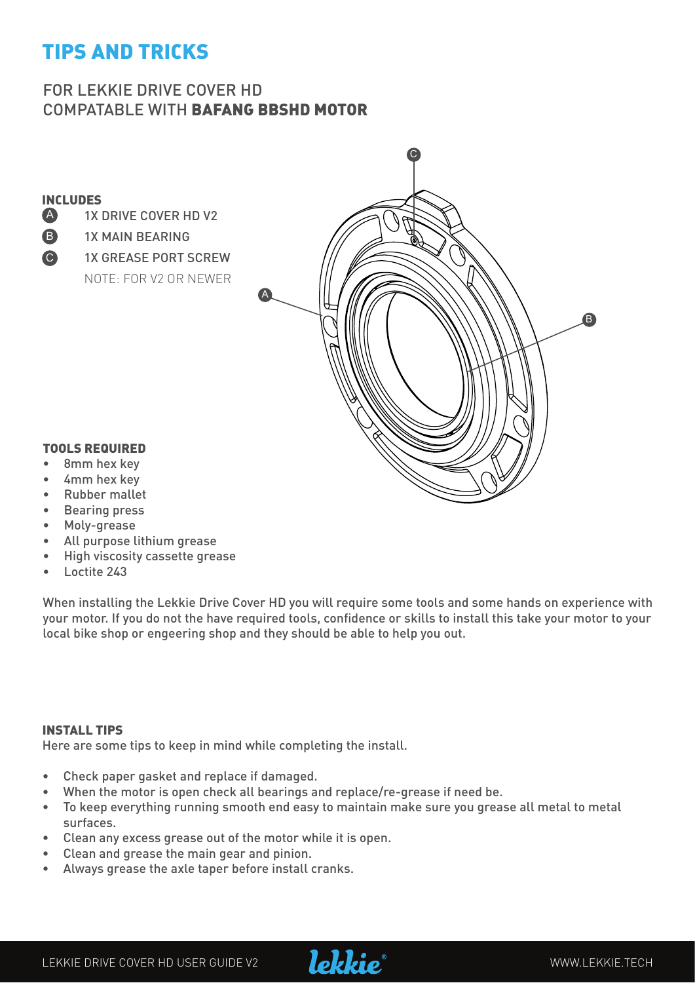## TIPS AND TRICKS

#### FOR LEKKIE DRIVE COVER HD COMPATABLE WITH BAFANG BBSHD MOTOR



- Moly-grease
- All purpose lithium grease
- High viscosity cassette grease
- $L$ octite  $2/3$

When installing the Lekkie Drive Cover HD you will require some tools and some hands on experience with your motor. If you do not the have required tools, confidence or skills to install this take your motor to your local bike shop or engeering shop and they should be able to help you out.

#### INSTALL TIPS

Here are some tips to keep in mind while completing the install.

- Check paper gasket and replace if damaged.
- When the motor is open check all bearings and replace/re-grease if need be.
- To keep everything running smooth end easy to maintain make sure you grease all metal to metal surfaces.
- • Clean any excess grease out of the motor while it is open.
- • Clean and grease the main gear and pinion.
- Always grease the axle taper before install cranks.

LEKKIE DRIVE COVER HD USER GUIDE V2 **WWW.LEKKIE.TECH** 

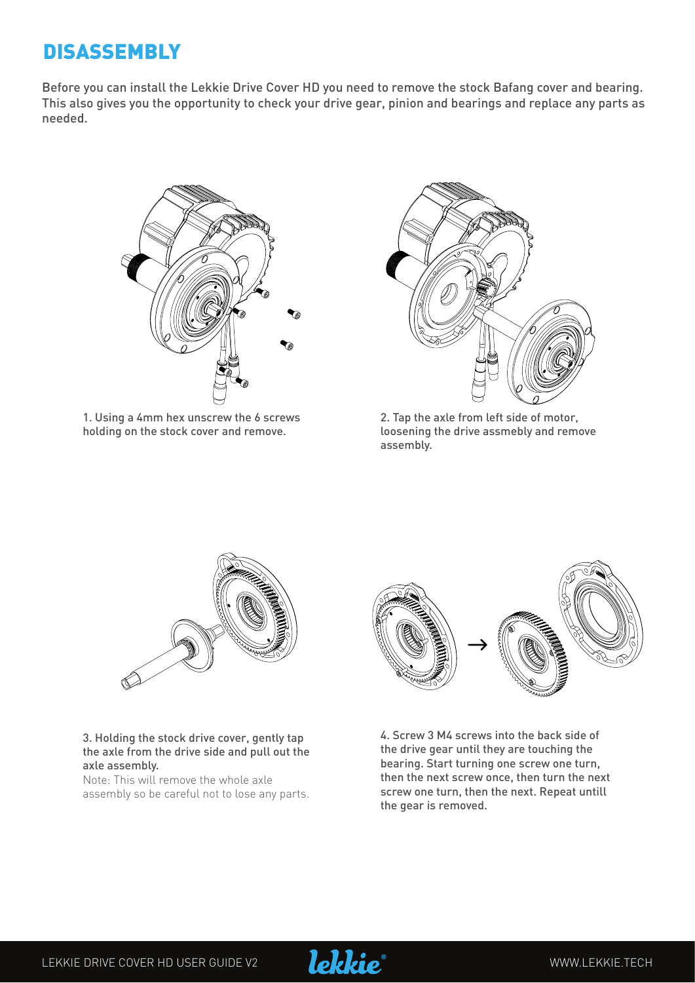### **DISASSEMBLY**

Before you can install the Lekkie Drive Cover HD you need to remove the stock Bafang cover and bearing. This also gives you the opportunity to check your drive gear, pinion and bearings and replace any parts as needed.



1. Using a 4mm hex unscrew the 6 screws holding on the stock cover and remove.



2. Tap the axle from left side of motor, loosening the drive assmebly and remove assembly.



#### 3. Holding the stock drive cover, gently tap the axle from the drive side and pull out the axle assembly.

Note: This will remove the whole axle assembly so be careful not to lose any parts.



4. Screw 3 M4 screws into the back side of the drive gear until they are touching the bearing. Start turning one screw one turn, then the next screw once, then turn the next screw one turn, then the next. Repeat untill the gear is removed.



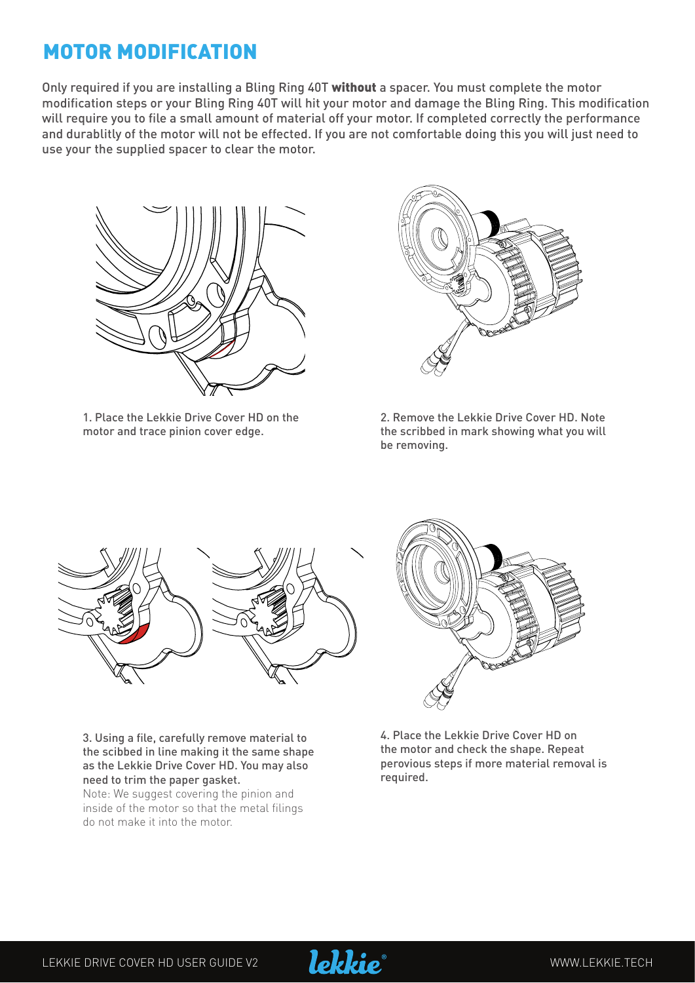## MOTOR MODIFICATION

Only required if you are installing a Bling Ring 40T without a spacer. You must complete the motor modification steps or your Bling Ring 40T will hit your motor and damage the Bling Ring. This modification will require you to file a small amount of material off your motor. If completed correctly the performance and durablitly of the motor will not be effected. If you are not comfortable doing this you will just need to use your the supplied spacer to clear the motor.



1. Place the Lekkie Drive Cover HD on the motor and trace pinion cover edge.



2. Remove the Lekkie Drive Cover HD. Note the scribbed in mark showing what you will be removing.



3. Using a file, carefully remove material to the scibbed in line making it the same shape as the Lekkie Drive Cover HD. You may also need to trim the paper gasket.

Note: We suggest covering the pinion and inside of the motor so that the metal filings do not make it into the motor.



4. Place the Lekkie Drive Cover HD on the motor and check the shape. Repeat perovious steps if more material removal is required.

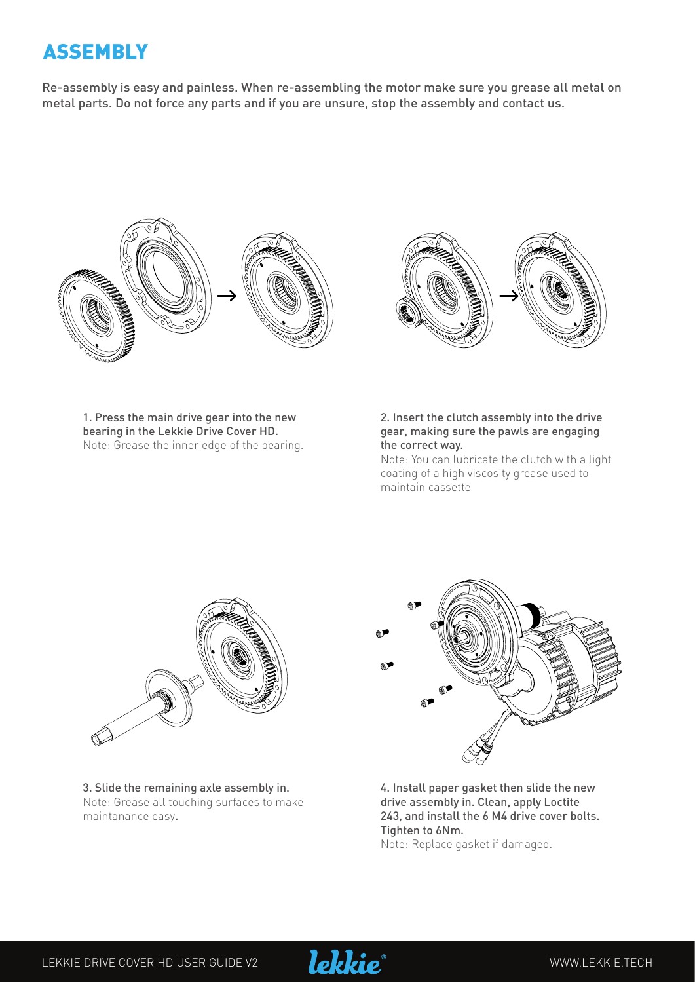# ASSEMBLY

Re-assembly is easy and painless. When re-assembling the motor make sure you grease all metal on metal parts. Do not force any parts and if you are unsure, stop the assembly and contact us.





1. Press the main drive gear into the new bearing in the Lekkie Drive Cover HD. Note: Grease the inner edge of the bearing.

#### 2. Insert the clutch assembly into the drive gear, making sure the pawls are engaging the correct way.

Note: You can lubricate the clutch with a light coating of a high viscosity grease used to maintain cassette



3. Slide the remaining axle assembly in. Note: Grease all touching surfaces to make maintanance easy.



4. Install paper gasket then slide the new drive assembly in. Clean, apply Loctite 243, and install the 6 M4 drive cover bolts. Tighten to 6Nm.

Note: Replace gasket if damaged.